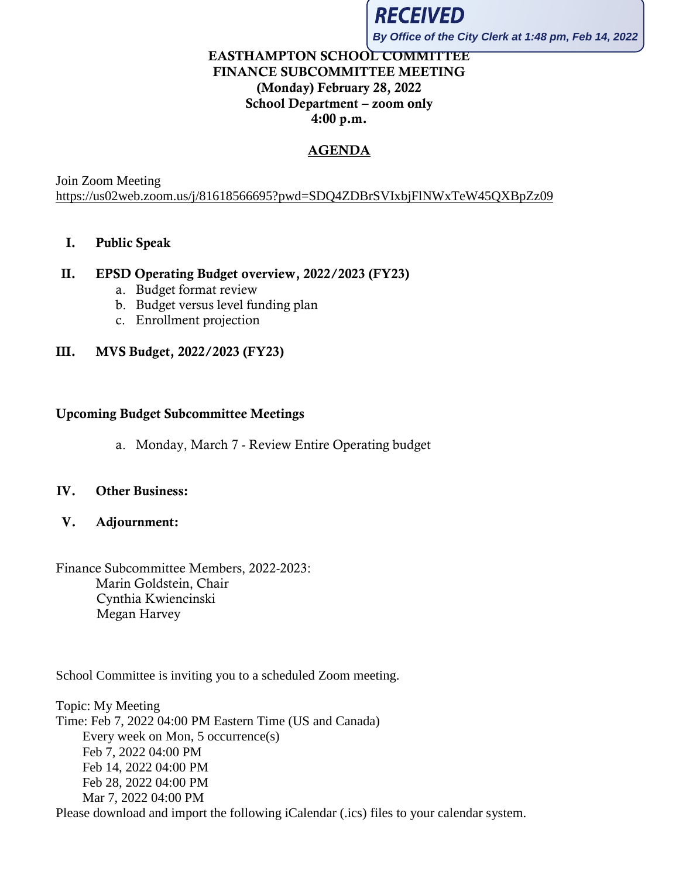

**By Office of the City Clerk at 1:48 pm, Feb 14, 2022**

# EASTHAMPTON SCHOOL COMMITTEE FINANCE SUBCOMMITTEE MEETING (Monday) February 28, 2022 School Department – zoom only 4:00 p.m.

# AGENDA

Join Zoom Meeting <https://us02web.zoom.us/j/81618566695?pwd=SDQ4ZDBrSVIxbjFlNWxTeW45QXBpZz09>

### I. Public Speak

### II. EPSD Operating Budget overview, 2022/2023 (FY23)

- a. Budget format review
- b. Budget versus level funding plan
- c. Enrollment projection

### III. MVS Budget, 2022/2023 (FY23)

#### Upcoming Budget Subcommittee Meetings

a. Monday, March 7 - Review Entire Operating budget

#### IV. Other Business:

V. Adjournment:

# Finance Subcommittee Members, 2022-2023: Marin Goldstein, Chair Cynthia Kwiencinski Megan Harvey

School Committee is inviting you to a scheduled Zoom meeting.

Topic: My Meeting Time: Feb 7, 2022 04:00 PM Eastern Time (US and Canada) Every week on Mon, 5 occurrence(s) Feb 7, 2022 04:00 PM Feb 14, 2022 04:00 PM Feb 28, 2022 04:00 PM Mar 7, 2022 04:00 PM Please download and import the following iCalendar (.ics) files to your calendar system.